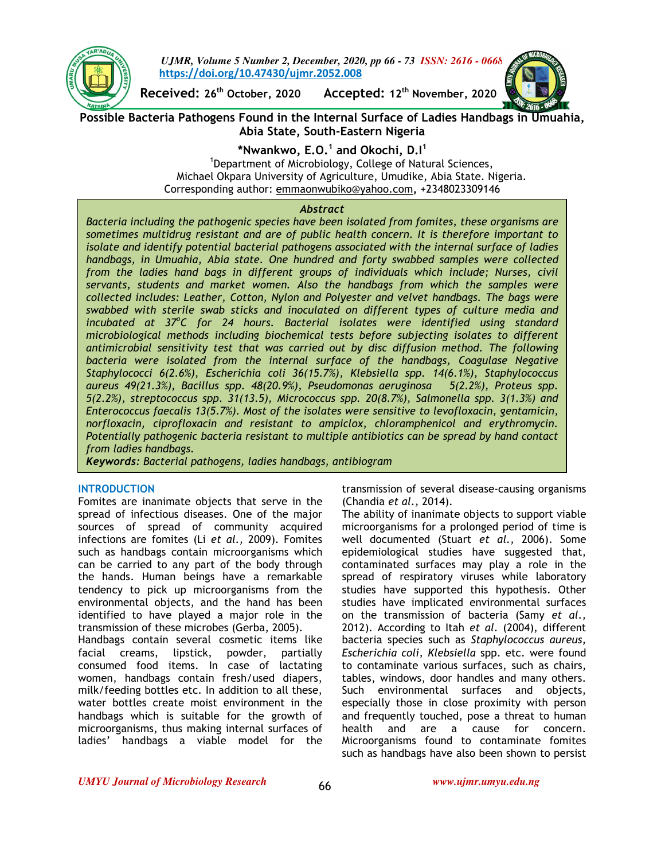

*UJMR, Volume 5 Number 2, December, 2020, pp 66 - 73 ISSN: 2616 - 0668* **https://doi.org/10.47430/ujmr.2052.008**

**Received: 26th October, 2020 Accepted: 12th November, 2020** 



**Possible Bacteria Pathogens Found in the Internal Surface of Ladies Handbags in Umuahia, Abia State, South-Eastern Nigeria** 

**\*Nwankwo, E.O.<sup>1</sup> and Okochi, D.I<sup>1</sup>**

<sup>1</sup>Department of Microbiology, College of Natural Sciences, Michael Okpara University of Agriculture, Umudike, Abia State. Nigeria. Corresponding author: emmaonwubiko@yahoo.com**,** +2348023309146

## *Abstract*

*Bacteria including the pathogenic species have been isolated from fomites, these organisms are sometimes multidrug resistant and are of public health concern. It is therefore important to isolate and identify potential bacterial pathogens associated with the internal surface of ladies handbags, in Umuahia, Abia state. One hundred and forty swabbed samples were collected from the ladies hand bags in different groups of individuals which include; Nurses, civil servants, students and market women. Also the handbags from which the samples were collected includes: Leather, Cotton, Nylon and Polyester and velvet handbags. The bags were swabbed with sterile swab sticks and inoculated on different types of culture media and incubated at 37<sup>o</sup> C for 24 hours. Bacterial isolates were identified using standard microbiological methods including biochemical tests before subjecting isolates to different antimicrobial sensitivity test that was carried out by disc diffusion method. The following*  bacteria were isolated from the internal surface of the handbags, Coagulase Negative *Staphylococci 6(2.6%), Escherichia coli 36(15.7%), Klebsiella spp. 14(6.1%), Staphylococcus aureus 49(21.3%), Bacillus spp. 48(20.9%), Pseudomonas aeruginosa 5(2.2%), Proteus spp. 5(2.2%), streptococcus spp. 31(13.5), Micrococcus spp. 20(8.7%), Salmonella spp. 3(1.3%) and Enterococcus faecalis 13(5.7%). Most of the isolates were sensitive to levofloxacin, gentamicin, norfloxacin, ciprofloxacin and resistant to ampiclox, chloramphenicol and erythromycin. Potentially pathogenic bacteria resistant to multiple antibiotics can be spread by hand contact from ladies handbags.* 

*Keywords: Bacterial pathogens, ladies handbags, antibiogram*

#### **INTRODUCTION**

Fomites are inanimate objects that serve in the spread of infectious diseases. One of the major sources of spread of community acquired infections are fomites (Li *et al.,* 2009). Fomites such as handbags contain microorganisms which can be carried to any part of the body through the hands. Human beings have a remarkable tendency to pick up microorganisms from the environmental objects, and the hand has been identified to have played a major role in the transmission of these microbes (Gerba, 2005). Handbags contain several cosmetic items like

facial creams, lipstick, powder, partially consumed food items. In case of lactating women, handbags contain fresh/used diapers, milk/feeding bottles etc. In addition to all these, water bottles create moist environment in the handbags which is suitable for the growth of microorganisms, thus making internal surfaces of ladies' handbags a viable model for the

transmission of several disease-causing organisms (Chandia *et al.,* 2014).

The ability of inanimate objects to support viable microorganisms for a prolonged period of time is well documented (Stuart *et al.,* 2006). Some epidemiological studies have suggested that, contaminated surfaces may play a role in the spread of respiratory viruses while laboratory studies have supported this hypothesis. Other studies have implicated environmental surfaces on the transmission of bacteria (Samy *et al.,*  2012). According to Itah *et al.* (2004), different bacteria species such as *Staphylococcus aureus, Escherichia coli, Klebsiella* spp. etc. were found to contaminate various surfaces, such as chairs, tables, windows, door handles and many others. Such environmental surfaces and objects, especially those in close proximity with person and frequently touched, pose a threat to human health and are a cause for concern. Microorganisms found to contaminate fomites such as handbags have also been shown to persist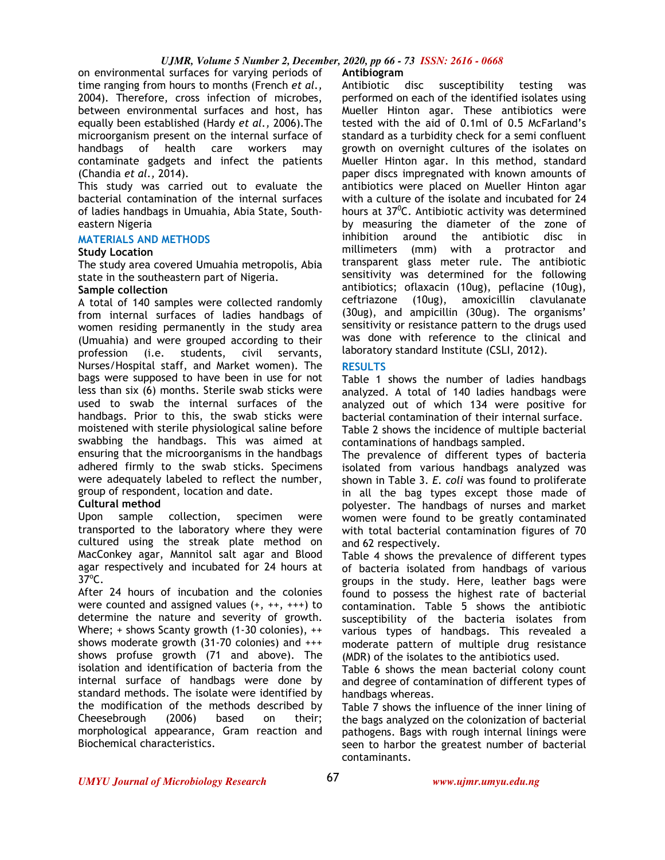## *UJMR, Volume 5 Number 2, December, 2020, pp 66 - 73 ISSN: 2616 - 0668*

on environmental surfaces for varying periods of time ranging from hours to months (French *et al.,*  2004). Therefore, cross infection of microbes, between environmental surfaces and host, has equally been established (Hardy *et al.,* 2006).The microorganism present on the internal surface of handbags of health care workers may contaminate gadgets and infect the patients (Chandia *et al.,* 2014).

This study was carried out to evaluate the bacterial contamination of the internal surfaces of ladies handbags in Umuahia, Abia State, Southeastern Nigeria

#### **MATERIALS AND METHODS**

#### **Study Location**

The study area covered Umuahia metropolis, Abia state in the southeastern part of Nigeria.

#### **Sample collection**

A total of 140 samples were collected randomly from internal surfaces of ladies handbags of women residing permanently in the study area (Umuahia) and were grouped according to their profession (i.e. students, civil servants, Nurses/Hospital staff, and Market women). The bags were supposed to have been in use for not less than six (6) months. Sterile swab sticks were used to swab the internal surfaces of the handbags. Prior to this, the swab sticks were moistened with sterile physiological saline before swabbing the handbags. This was aimed at ensuring that the microorganisms in the handbags adhered firmly to the swab sticks. Specimens were adequately labeled to reflect the number, group of respondent, location and date.

## **Cultural method**

Upon sample collection, specimen were transported to the laboratory where they were cultured using the streak plate method on MacConkey agar, Mannitol salt agar and Blood agar respectively and incubated for 24 hours at  $37^{\circ}$ C.

After 24 hours of incubation and the colonies were counted and assigned values (+, ++, +++) to determine the nature and severity of growth. Where; + shows Scanty growth (1-30 colonies), ++ shows moderate growth (31-70 colonies) and +++ shows profuse growth (71 and above). The isolation and identification of bacteria from the internal surface of handbags were done by standard methods. The isolate were identified by the modification of the methods described by Cheesebrough (2006) based on their; morphological appearance, Gram reaction and Biochemical characteristics.

# **Antibiogram**

Antibiotic disc susceptibility testing was performed on each of the identified isolates using Mueller Hinton agar. These antibiotics were tested with the aid of 0.1ml of 0.5 McFarland's standard as a turbidity check for a semi confluent growth on overnight cultures of the isolates on Mueller Hinton agar. In this method, standard paper discs impregnated with known amounts of antibiotics were placed on Mueller Hinton agar with a culture of the isolate and incubated for 24 hours at 37<sup>0</sup>C. Antibiotic activity was determined by measuring the diameter of the zone of inhibition around the antibiotic disc in millimeters (mm) with a protractor and transparent glass meter rule. The antibiotic sensitivity was determined for the following antibiotics; oflaxacin (10ug), peflacine (10ug), ceftriazone (10ug), amoxicillin clavulanate (30ug), and ampicillin (30ug). The organisms' sensitivity or resistance pattern to the drugs used was done with reference to the clinical and laboratory standard Institute (CSLI, 2012).

#### **RESULTS**

Table 1 shows the number of ladies handbags analyzed. A total of 140 ladies handbags were analyzed out of which 134 were positive for bacterial contamination of their internal surface.

Table 2 shows the incidence of multiple bacterial contaminations of handbags sampled.

The prevalence of different types of bacteria isolated from various handbags analyzed was shown in Table 3. *E. coli* was found to proliferate in all the bag types except those made of polyester. The handbags of nurses and market women were found to be greatly contaminated with total bacterial contamination figures of 70 and 62 respectively.

Table 4 shows the prevalence of different types of bacteria isolated from handbags of various groups in the study. Here, leather bags were found to possess the highest rate of bacterial contamination. Table 5 shows the antibiotic susceptibility of the bacteria isolates from various types of handbags. This revealed a moderate pattern of multiple drug resistance (MDR) of the isolates to the antibiotics used.

Table 6 shows the mean bacterial colony count and degree of contamination of different types of handbags whereas.

Table 7 shows the influence of the inner lining of the bags analyzed on the colonization of bacterial pathogens. Bags with rough internal linings were seen to harbor the greatest number of bacterial contaminants.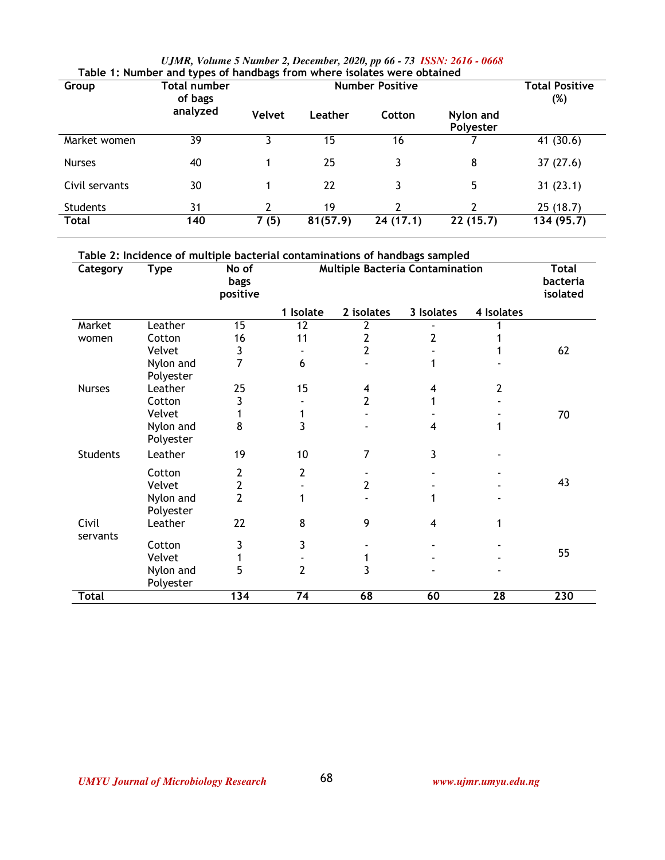|  | UJMR, Volume 5 Number 2, December, 2020, pp 66 - 73 ISSN: 2616 - 0668 |  |  |
|--|-----------------------------------------------------------------------|--|--|
|  | r and types of handbags from where isolates were obtained             |  |  |

| Table 1: Number and types of handbags from where isolates were obtained |              |               |                       |          |                        |            |  |  |  |
|-------------------------------------------------------------------------|--------------|---------------|-----------------------|----------|------------------------|------------|--|--|--|
| Group                                                                   | Total number |               | <b>Total Positive</b> |          |                        |            |  |  |  |
|                                                                         | of bags      |               |                       |          |                        | (%)        |  |  |  |
|                                                                         | analyzed     | <b>Velvet</b> | Leather               | Cotton   | Nylon and<br>Polyester |            |  |  |  |
| Market women                                                            | 39           | 3             | 15                    | 16       |                        | 41 (30.6)  |  |  |  |
| <b>Nurses</b>                                                           | 40           |               | 25                    | 3        | 8                      | 37(27.6)   |  |  |  |
| Civil servants                                                          | 30           |               | 22                    | 3        | 5                      | 31(23.1)   |  |  |  |
| <b>Students</b>                                                         | 31           | 2             | 19                    | 2        | 2                      | 25(18.7)   |  |  |  |
| <b>Total</b>                                                            | 140          | 7(5)          | 81(57.9)              | 24(17.1) | 22(15.7)               | 134 (95.7) |  |  |  |

| Category          | <b>Type</b>            | <b>bags</b><br>positive | <b>Multiple Bacteria Contamination</b><br>No of |                |                |            |     |  |
|-------------------|------------------------|-------------------------|-------------------------------------------------|----------------|----------------|------------|-----|--|
|                   |                        |                         | 1 Isolate                                       | 2 isolates     | 3 Isolates     | 4 Isolates |     |  |
| Market            | Leather                | 15                      | 12                                              | 2              |                |            |     |  |
| women             | Cotton                 | 16                      | 11                                              | $\overline{2}$ | 2              |            |     |  |
|                   | Velvet                 | 3                       |                                                 | $\overline{2}$ |                |            | 62  |  |
|                   | Nylon and<br>Polyester | 7                       | 6                                               |                |                |            |     |  |
| <b>Nurses</b>     | Leather                | 25                      | 15                                              | 4              | 4              | 2          |     |  |
|                   | Cotton                 | 3                       |                                                 | $\overline{2}$ |                |            |     |  |
|                   | Velvet                 |                         | 1                                               |                |                |            | 70  |  |
|                   | Nylon and<br>Polyester | 8                       | 3                                               |                | 4              | 1          |     |  |
| <b>Students</b>   | Leather                | 19                      | 10                                              | 7              | 3              |            |     |  |
|                   | Cotton                 | 2                       | 2                                               |                |                |            |     |  |
|                   | Velvet                 | $\overline{\mathbf{c}}$ |                                                 | 2              |                |            | 43  |  |
|                   | Nylon and<br>Polyester | $\overline{2}$          | 1                                               |                |                |            |     |  |
| Civil<br>servants | Leather                | 22                      | 8                                               | 9              | $\overline{4}$ | 1          |     |  |
|                   | Cotton                 | 3                       | 3                                               |                |                |            |     |  |
|                   | Velvet                 |                         |                                                 | 1              |                |            | 55  |  |
|                   | Nylon and<br>Polyester | 5                       | $\overline{2}$                                  | $\overline{3}$ |                |            |     |  |
| <b>Total</b>      |                        | 134                     | $\overline{74}$                                 | 68             | 60             | 28         | 230 |  |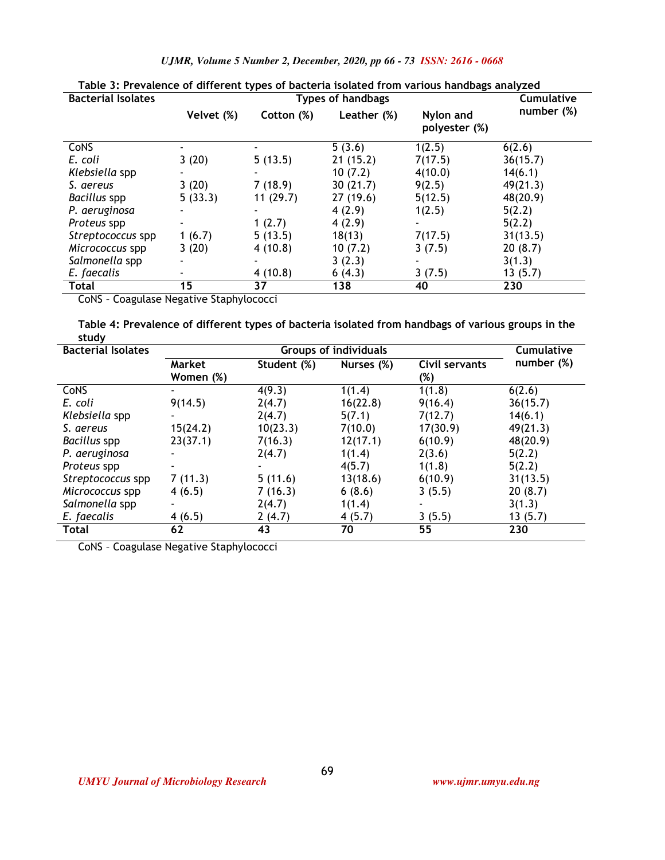| Table 3: Prevalence of different types of bacteria isolated from various handbags analyzed |            |            |                          |                            |                   |  |  |
|--------------------------------------------------------------------------------------------|------------|------------|--------------------------|----------------------------|-------------------|--|--|
| <b>Bacterial Isolates</b>                                                                  |            |            | <b>Types of handbags</b> |                            | <b>Cumulative</b> |  |  |
|                                                                                            | Velvet (%) | Cotton (%) | Leather (%)              | Nylon and<br>polyester (%) | number (%)        |  |  |
| CoNS                                                                                       |            |            | 5(3.6)                   | 1(2.5)                     | 6(2.6)            |  |  |
| E. coli                                                                                    | 3(20)      | 5(13.5)    | 21(15.2)                 | 7(17.5)                    | 36(15.7)          |  |  |
| Klebsiella spp                                                                             |            |            | 10(7.2)                  | 4(10.0)                    | 14(6.1)           |  |  |
| S. aereus                                                                                  | 3(20)      | 7(18.9)    | 30(21.7)                 | 9(2.5)                     | 49(21.3)          |  |  |
| Bacillus spp                                                                               | 5(33.3)    | 11(29.7)   | 27(19.6)                 | 5(12.5)                    | 48(20.9)          |  |  |
| P. aeruginosa                                                                              |            |            | 4(2.9)                   | 1(2.5)                     | 5(2.2)            |  |  |
| Proteus spp                                                                                |            | 1(2.7)     | 4(2.9)                   |                            | 5(2.2)            |  |  |
| Streptococcus spp                                                                          | 1(6.7)     | 5(13.5)    | 18(13)                   | 7(17.5)                    | 31(13.5)          |  |  |
| Micrococcus spp                                                                            | 3(20)      | 4(10.8)    | 10(7.2)                  | 3(7.5)                     | 20(8.7)           |  |  |
| Salmonella spp                                                                             |            |            | 3(2.3)                   |                            | 3(1.3)            |  |  |
| E. faecalis                                                                                |            | 4(10.8)    | 6(4.3)                   | 3(7.5)                     | 13(5.7)           |  |  |
| Total                                                                                      | 15         | 37         | 138                      | 40                         | 230               |  |  |

*UJMR, Volume 5 Number 2, December, 2020, pp 66 - 73 ISSN: 2616 - 0668*

CoNS – Coagulase Negative Staphylococci

**Table 4: Prevalence of different types of bacteria isolated from handbags of various groups in the study** 

| <b>Bacterial Isolates</b> |                          | <b>Cumulative</b> |            |                |            |
|---------------------------|--------------------------|-------------------|------------|----------------|------------|
|                           | Market                   | Student (%)       | Nurses (%) | Civil servants | number (%) |
|                           | Women (%)                |                   |            | (%)            |            |
| <b>CoNS</b>               |                          | 4(9.3)            | 1(1.4)     | 1(1.8)         | 6(2.6)     |
| E. coli                   | 9(14.5)                  | 2(4.7)            | 16(22.8)   | 9(16.4)        | 36(15.7)   |
| Klebsiella spp            | ٠                        | 2(4.7)            | 5(7.1)     | 7(12.7)        | 14(6.1)    |
| S. aereus                 | 15(24.2)                 | 10(23.3)          | 7(10.0)    | 17(30.9)       | 49(21.3)   |
| Bacillus spp              | 23(37.1)                 | 7(16.3)           | 12(17.1)   | 6(10.9)        | 48(20.9)   |
| P. aeruginosa             | $\overline{\phantom{0}}$ | 2(4.7)            | 1(1.4)     | 2(3.6)         | 5(2.2)     |
| Proteus spp               |                          |                   | 4(5.7)     | 1(1.8)         | 5(2.2)     |
| Streptococcus spp         | 7(11.3)                  | 5(11.6)           | 13(18.6)   | 6(10.9)        | 31(13.5)   |
| Micrococcus spp           | 4(6.5)                   | 7(16.3)           | 6(8.6)     | 3(5.5)         | 20(8.7)    |
| Salmonella spp            | ٠                        | 2(4.7)            | 1(1.4)     |                | 3(1.3)     |
| E. faecalis               | 4(6.5)                   | 2(4.7)            | 4(5.7)     | 3(5.5)         | 13(5.7)    |
| Total                     | 62                       | 43                | 70         | 55             | 230        |

CoNS – Coagulase Negative Staphylococci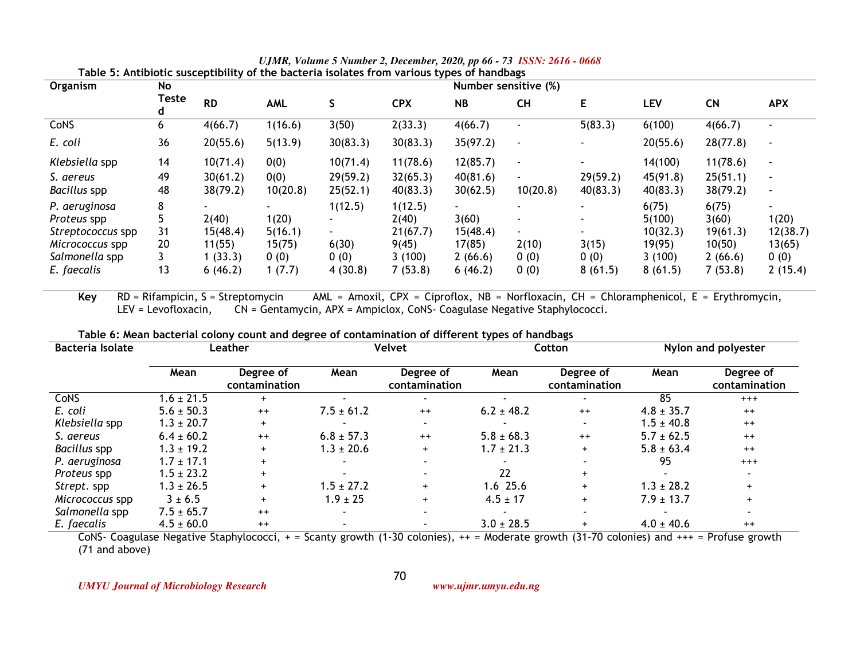| Organism          | No<br>Number sensitive (%) |           |          |                          |            |           |                          |                          |          |           |                          |
|-------------------|----------------------------|-----------|----------|--------------------------|------------|-----------|--------------------------|--------------------------|----------|-----------|--------------------------|
|                   | Teste<br>d                 | <b>RD</b> | AML      |                          | <b>CPX</b> | <b>NB</b> | <b>CH</b>                | Е                        | LEV      | <b>CN</b> | <b>APX</b>               |
| CoNS              | O                          | 4(66.7)   | 1(16.6)  | 3(50)                    | 2(33.3)    | 4(66.7)   | $\overline{\phantom{0}}$ | 5(83.3)                  | 6(100)   | 4(66.7)   |                          |
| E. coli           | 36                         | 20(55.6)  | 5(13.9)  | 30(83.3)                 | 30(83.3)   | 35(97.2)  | $\sim$                   |                          | 20(55.6) | 28(77.8)  | $\overline{\phantom{a}}$ |
| Klebsiella spp    | 14                         | 10(71.4)  | 0(0)     | 10(71.4)                 | 11(78.6)   | 12(85.7)  | $\sim$                   |                          | 14(100)  | 11(78.6)  | $\blacksquare$           |
| S. aereus         | 49                         | 30(61.2)  | 0(0)     | 29(59.2)                 | 32(65.3)   | 40(81.6)  | $\overline{\phantom{a}}$ | 29(59.2)                 | 45(91.8) | 25(51.1)  | $\overline{\phantom{a}}$ |
| Bacillus spp      | 48                         | 38(79.2)  | 10(20.8) | 25(52.1)                 | 40(83.3)   | 30(62.5)  | 10(20.8)                 | 40(83.3)                 | 40(83.3) | 38(79.2)  | $\overline{\phantom{a}}$ |
| P. aeruginosa     | 8                          |           |          | 1(12.5)                  | 1(12.5)    | -         |                          |                          | 6(75)    | 6(75)     | $\overline{\phantom{0}}$ |
| Proteus spp       |                            | 2(40)     | 1(20)    |                          | 2(40)      | 3(60)     | ٠                        | $\overline{\phantom{0}}$ | 5(100)   | 3(60)     | 1(20)                    |
| Streptococcus spp | 31                         | 15(48.4)  | 5(16.1)  | $\overline{\phantom{0}}$ | 21(67.7)   | 15(48.4)  | $\sim$                   |                          | 10(32.3) | 19(61.3)  | 12(38.7)                 |
| Micrococcus spp   | 20                         | 11(55)    | 15(75)   | 6(30)                    | 9(45)      | 17(85)    | 2(10)                    | 3(15)                    | 19(95)   | 10(50)    | 13(65)                   |
| Salmonella spp    |                            | (33.3)    | 0(0)     | 0(0)                     | 3(100)     | 2(66.6)   | 0(0)                     | 0(0)                     | 3(100)   | 2(66.6)   | 0(0)                     |
| E. faecalis       | 13                         | 6(46.2)   | 1(7.7)   | 4(30.8)                  | 7(53.8)    | 6(46.2)   | 0(0)                     | 8(61.5)                  | 8(61.5)  | 7(53.8)   | 2(15.4)                  |

*UJMR, Volume 5 Number 2, December, 2020, pp 66 - 73 ISSN: 2616 - 0668* **Table 5: Antibiotic susceptibility of the bacteria isolates from various types of handbags** 

**Key** RD = Rifampicin, S = Streptomycin AML = Amoxil, CPX = Ciproflox, NB = Norfloxacin, CH = Chloramphenicol, E = Erythromycin,LEV = Levofloxacin, CN = Gentamycin, APX = Ampiclox, CoNS- Coagulase Negative Staphylococci.

|  | Table 6: Mean bacterial colony count and degree of contamination of different types of handbags |
|--|-------------------------------------------------------------------------------------------------|
|  |                                                                                                 |

| <b>Bacteria Isolate</b> | Leather        |                            | Velvet                   |                            | Cotton         |                            | Nylon and polyester |                            |
|-------------------------|----------------|----------------------------|--------------------------|----------------------------|----------------|----------------------------|---------------------|----------------------------|
|                         | Mean           | Degree of<br>contamination | Mean                     | Degree of<br>contamination | Mean           | Degree of<br>contamination | Mean                | Degree of<br>contamination |
| <b>CoNS</b>             | $1.6 \pm 21.5$ | $\ddot{}$                  |                          |                            |                |                            | 85                  | $+++$                      |
| E. coli                 | $5.6 \pm 50.3$ | $++$                       | $7.5 \pm 61.2$           | $++$                       | $6.2 \pm 48.2$ | $++$                       | $4.8 \pm 35.7$      | $^{++}$                    |
| Klebsiella spp          | $1.3 \pm 20.7$ | $+$                        |                          |                            |                | $\overline{\phantom{0}}$   | $1.5 \pm 40.8$      | $^{++}$                    |
| S. aereus               | $6.4 \pm 60.2$ | $++$                       | $6.8 \pm 57.3$           | $++$                       | $5.8 \pm 68.3$ | $++$                       | $5.7 \pm 62.5$      | $^{++}$                    |
| Bacillus spp            | $1.3 \pm 19.2$ | $+$                        | $1.3 \pm 20.6$           | $\pm$                      | $1.7 \pm 21.3$ | $\pm$                      | $5.8 \pm 63.4$      | $^{++}$                    |
| P. aeruginosa           | $1.7 \pm 17.1$ | $+$                        |                          |                            |                |                            | 95                  | $+++$                      |
| Proteus spp             | $1.5 \pm 23.2$ | $+$                        |                          |                            | 22             | $+$                        |                     |                            |
| Strept. spp             | $1.3 \pm 26.5$ | $+$                        | $1.5 \pm 27.2$           | $\pm$                      | 1.6 25.6       | $+$                        | $1.3 \pm 28.2$      | $+$                        |
| Micrococcus spp         | $3 \pm 6.5$    | $+$                        | $1.9 \pm 25$             | $+$                        | $4.5 \pm 17$   | $+$                        | $7.9 \pm 13.7$      | $+$                        |
| Salmonella spp          | $7.5 \pm 65.7$ | $++$                       |                          |                            |                | $\overline{\phantom{a}}$   |                     |                            |
| E. faecalis             | $4.5 \pm 60.0$ | $++$                       | $\overline{\phantom{0}}$ |                            | $3.0 \pm 28.5$ | $+$                        | $4.0 \pm 40.6$      | $^{++}$                    |

CoNS- Coagulase Negative Staphylococci, + = Scanty growth (1-30 colonies), ++ = Moderate growth (31-70 colonies) and +++ = Profuse growth (71 and above)

70

*UMYU Journal of Microbiology Research www.ujmr.umyu.edu.ng*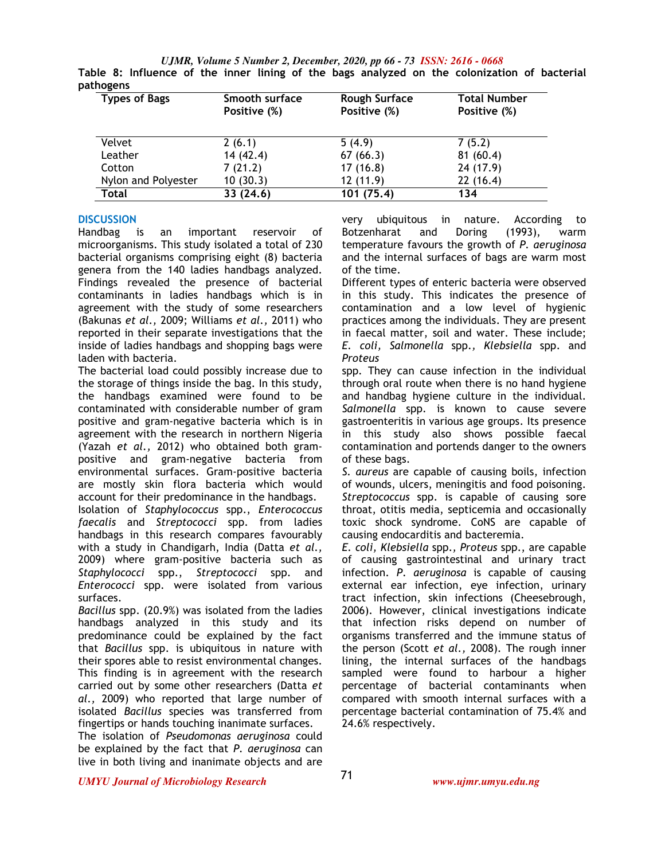*UJMR, Volume 5 Number 2, December, 2020, pp 66 - 73 ISSN: 2616 - 0668* **Table 8: Influence of the inner lining of the bags analyzed on the colonization of bacterial pathogens** 

| <b>Types of Bags</b> | Smooth surface | <b>Rough Surface</b> | <b>Total Number</b> |
|----------------------|----------------|----------------------|---------------------|
|                      | Positive (%)   | Positive (%)         | Positive (%)        |
|                      |                |                      |                     |
| Velvet               | 2(6.1)         | 5(4.9)               | 7(5.2)              |
| Leather              | 14(42.4)       | 67(66.3)             | 81(60.4)            |
| Cotton               | 7(21.2)        | 17(16.8)             | 24(17.9)            |
| Nylon and Polyester  | 10(30.3)       | 12(11.9)             | 22(16.4)            |
| <b>Total</b>         | 33(24.6)       | 101 (75.4)           | 134                 |

# **DISCUSSION**

Handbag is an important reservoir of microorganisms. This study isolated a total of 230 bacterial organisms comprising eight (8) bacteria genera from the 140 ladies handbags analyzed. Findings revealed the presence of bacterial contaminants in ladies handbags which is in agreement with the study of some researchers (Bakunas *et al.,* 2009; Williams *et al.,* 2011) who reported in their separate investigations that the inside of ladies handbags and shopping bags were laden with bacteria.

The bacterial load could possibly increase due to the storage of things inside the bag. In this study, the handbags examined were found to be contaminated with considerable number of gram positive and gram-negative bacteria which is in agreement with the research in northern Nigeria (Yazah *et al.,* 2012) who obtained both grampositive and gram-negative bacteria from environmental surfaces. Gram-positive bacteria are mostly skin flora bacteria which would account for their predominance in the handbags. Isolation of *Staphylococcus* spp., *Enterococcus faecalis* and *Streptococci* spp. from ladies handbags in this research compares favourably with a study in Chandigarh, India (Datta *et al.,*  2009) where gram-positive bacteria such as *Staphylococci* spp., *Streptococci* spp. and *Enterococci* spp. were isolated from various surfaces.

*Bacillus* spp. (20.9%) was isolated from the ladies handbags analyzed in this study and its predominance could be explained by the fact that *Bacillus* spp. is ubiquitous in nature with their spores able to resist environmental changes. This finding is in agreement with the research carried out by some other researchers (Datta *et al.,* 2009) who reported that large number of isolated *Bacillus* species was transferred from fingertips or hands touching inanimate surfaces.

The isolation of *Pseudomonas aeruginosa* could be explained by the fact that *P. aeruginosa* can live in both living and inanimate objects and are very ubiquitous in nature. According to Botzenharat and Doring (1993), warm temperature favours the growth of *P. aeruginosa*  and the internal surfaces of bags are warm most of the time.

Different types of enteric bacteria were observed in this study. This indicates the presence of contamination and a low level of hygienic practices among the individuals. They are present in faecal matter, soil and water. These include; *E. coli, Salmonella* spp.*, Klebsiella* spp. and *Proteus*

spp. They can cause infection in the individual through oral route when there is no hand hygiene and handbag hygiene culture in the individual. *Salmonella* spp. is known to cause severe gastroenteritis in various age groups. Its presence in this study also shows possible faecal contamination and portends danger to the owners of these bags.

*S. aureus* are capable of causing boils, infection of wounds, ulcers, meningitis and food poisoning. *Streptococcus* spp. is capable of causing sore throat, otitis media, septicemia and occasionally toxic shock syndrome. CoNS are capable of causing endocarditis and bacteremia.

*E. coli, Klebsiella* spp.*, Proteus* spp., are capable of causing gastrointestinal and urinary tract infection. *P*. *aeruginosa* is capable of causing external ear infection, eye infection, urinary tract infection, skin infections (Cheesebrough, 2006). However, clinical investigations indicate that infection risks depend on number of organisms transferred and the immune status of the person (Scott *et al.,* 2008). The rough inner lining, the internal surfaces of the handbags sampled were found to harbour a higher percentage of bacterial contaminants when compared with smooth internal surfaces with a percentage bacterial contamination of 75.4% and 24.6% respectively.

*UMYU Journal of Microbiology Research www.ujmr.umyu.edu.ng*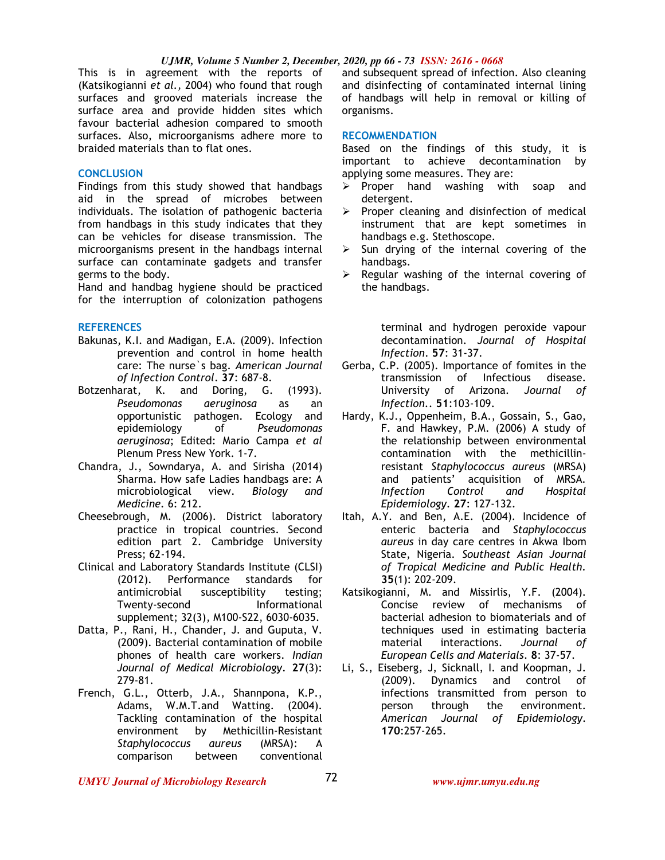#### *UJMR, Volume 5 Number 2, December, 2020, pp 66 - 73 ISSN: 2616 - 0668*

This is in agreement with the reports of (Katsikogianni *et al.,* 2004) who found that rough surfaces and grooved materials increase the surface area and provide hidden sites which favour bacterial adhesion compared to smooth surfaces. Also, microorganisms adhere more to braided materials than to flat ones.

# **CONCLUSION**

Findings from this study showed that handbags aid in the spread of microbes between individuals. The isolation of pathogenic bacteria from handbags in this study indicates that they can be vehicles for disease transmission. The microorganisms present in the handbags internal surface can contaminate gadgets and transfer germs to the body.

Hand and handbag hygiene should be practiced for the interruption of colonization pathogens

#### **REFERENCES**

- Bakunas, K.I. and Madigan, E.A. (2009). Infection prevention and control in home health care: The nurse`s bag. *American Journal of Infection Control*. **37**: 687-8.
- Botzenharat, K. and Doring, G. (1993). *Pseudomonas aeruginosa* as an opportunistic pathogen. Ecology and epidemiology of *Pseudomonas aeruginosa*; Edited: Mario Campa *et al* Plenum Press New York. 1-7.
- Chandra, J., Sowndarya, A. and Sirisha (2014) Sharma. How safe Ladies handbags are: A microbiological view. *Biology and Medicine.* 6: 212.
- Cheesebrough, M. (2006). District laboratory practice in tropical countries. Second edition part 2. Cambridge University Press; 62-194.
- Clinical and Laboratory Standards Institute (CLSI) (2012). Performance standards for antimicrobial susceptibility testing; Twenty-second Informational supplement; 32(3), M100-S22, 6030-6035.
- Datta, P., Rani, H., Chander, J. and Guputa, V. (2009). Bacterial contamination of mobile phones of health care workers. *Indian Journal of Medical Microbiology*. **27**(3): 279-81.
- French, G.L., Otterb, J.A., Shannpona, K.P., Adams, W.M.T.and Watting. (2004). Tackling contamination of the hospital environment by Methicillin-Resistant *Staphylococcus aureus* (MRSA): A comparison between conventional

and subsequent spread of infection. Also cleaning and disinfecting of contaminated internal lining of handbags will help in removal or killing of organisms.

#### **RECOMMENDATION**

Based on the findings of this study, it is important to achieve decontamination by applying some measures. They are:

- $\triangleright$  Proper hand washing with soap and detergent.
- $\triangleright$  Proper cleaning and disinfection of medical instrument that are kept sometimes in handbags e.g. Stethoscope.
- $\triangleright$  Sun drying of the internal covering of the handbags.
- $\triangleright$  Regular washing of the internal covering of the handbags.

terminal and hydrogen peroxide vapour decontamination. *Journal of Hospital Infection*. **57**: 31-37.

- Gerba, C.P. (2005). Importance of fomites in the transmission of Infectious disease. University of Arizona*. Journal of Infection.*. **51**:103-109.
- Hardy, K.J., Oppenheim, B.A., Gossain, S., Gao, F. and Hawkey, P.M. (2006) A study of the relationship between environmental contamination with the methicillinresistant *Staphylococcus aureus* (MRSA) and patients' acquisition of MRSA*. Infection Control and Hospital Epidemiology*. **27**: 127-132.
- Itah, A.Y. and Ben, A.E. (2004). Incidence of enteric bacteria and *Staphylococcus aureus* in day care centres in Akwa Ibom State, Nigeria*. Southeast Asian Journal of Tropical Medicine and Public Health.*  **35**(1): 202-209.
- Katsikogianni, M. and Missirlis, Y.F. (2004). Concise review of mechanisms of bacterial adhesion to biomaterials and of techniques used in estimating bacteria material interactions. *Journal of European Cells and Materials*. **8**: 37-57.
- Li, S., Eiseberg, J, Sicknall, I. and Koopman, J. (2009). Dynamics and control of infections transmitted from person to person through the environment. *American Journal of Epidemiology*. **170**:257-265.

*UMYU Journal of Microbiology Research www.ujmr.umyu.edu.ng*